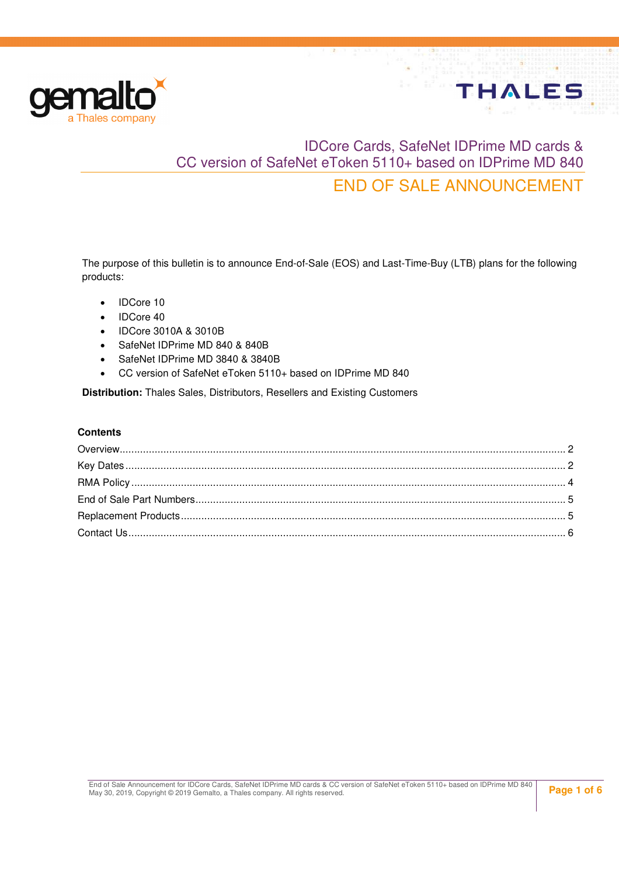

# IDCore Cards, SafeNet IDPrime MD cards & CC version of SafeNet eToken 5110+ based on IDPrime MD 840 END OF SALE ANNOUNCEMENT

**THALES** 

The purpose of this bulletin is to announce End-of-Sale (EOS) and Last-Time-Buy (LTB) plans for the following products:

- IDCore 10
- IDCore 40
- IDCore 3010A & 3010B
- SafeNet IDPrime MD 840 & 840B
- SafeNet IDPrime MD 3840 & 3840B
- CC version of SafeNet eToken 5110+ based on IDPrime MD 840

**Distribution:** Thales Sales, Distributors, Resellers and Existing Customers

#### **Contents**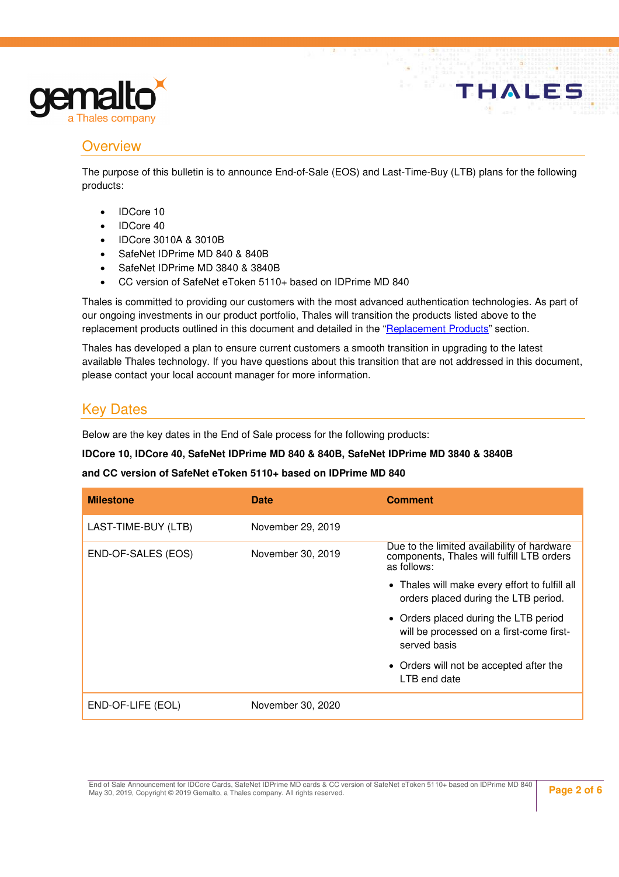

### **Overview**

The purpose of this bulletin is to announce End-of-Sale (EOS) and Last-Time-Buy (LTB) plans for the following products:

- IDCore 10
- IDCore 40
- IDCore 3010A & 3010B
- SafeNet IDPrime MD 840 & 840B
- SafeNet IDPrime MD 3840 & 3840B
- CC version of SafeNet eToken 5110+ based on IDPrime MD 840

Thales is committed to providing our customers with the most advanced authentication technologies. As part of our ongoing investments in our product portfolio, Thales will transition the products listed above to the replacement products outlined in this document and detailed in the "Replacement Products" section.

Thales has developed a plan to ensure current customers a smooth transition in upgrading to the latest available Thales technology. If you have questions about this transition that are not addressed in this document, please contact your local account manager for more information.

### Key Dates

Below are the key dates in the End of Sale process for the following products:

#### **IDCore 10, IDCore 40, SafeNet IDPrime MD 840 & 840B, SafeNet IDPrime MD 3840 & 3840B**

#### **and CC version of SafeNet eToken 5110+ based on IDPrime MD 840**

| <b>Milestone</b>    | <b>Date</b>       | <b>Comment</b>                                                                                           |
|---------------------|-------------------|----------------------------------------------------------------------------------------------------------|
| LAST-TIME-BUY (LTB) | November 29, 2019 |                                                                                                          |
| END-OF-SALES (EOS)  | November 30, 2019 | Due to the limited availability of hardware<br>components, Thales will fulfill LTB orders<br>as follows: |
|                     |                   | • Thales will make every effort to fulfill all<br>orders placed during the LTB period.                   |
|                     |                   | • Orders placed during the LTB period<br>will be processed on a first-come first-<br>served basis        |
|                     |                   | • Orders will not be accepted after the<br>LTB end date                                                  |
| END-OF-LIFE (EOL)   | November 30, 2020 |                                                                                                          |

End of Sale Announcement for IDCore Cards, SafeNet IDPrime MD cards & CC version of SafeNet eToken 5110+ based on IDPrime MD 840<br>May 30, 2019, Copyright © 2019 Gemalto, a Thales company. All rights reserved.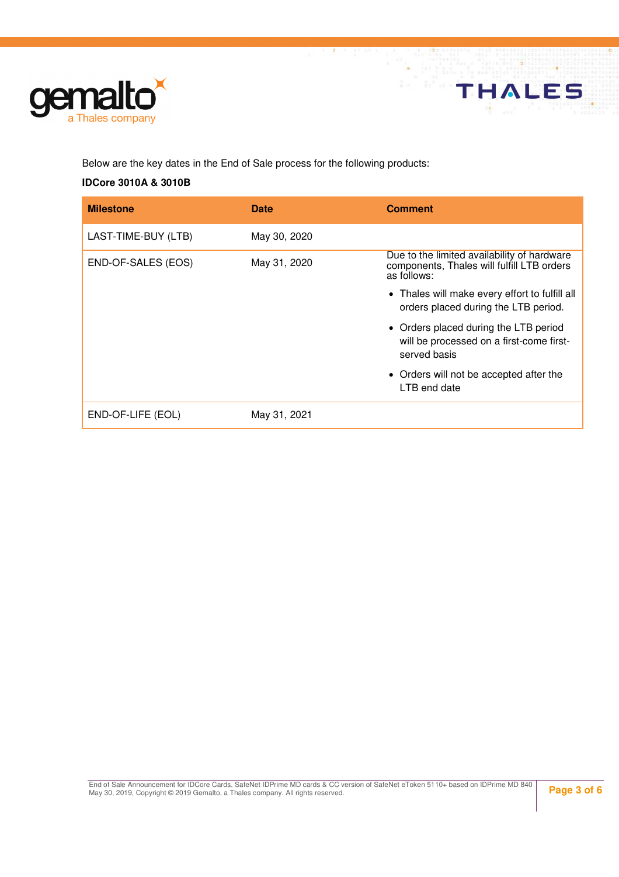

Below are the key dates in the End of Sale process for the following products:

#### **IDCore 3010A & 3010B**

| <b>Milestone</b>    | Date         | <b>Comment</b>                                                                                           |
|---------------------|--------------|----------------------------------------------------------------------------------------------------------|
| LAST-TIME-BUY (LTB) | May 30, 2020 |                                                                                                          |
| END-OF-SALES (EOS)  | May 31, 2020 | Due to the limited availability of hardware<br>components, Thales will fulfill LTB orders<br>as follows: |
|                     |              | • Thales will make every effort to fulfill all<br>orders placed during the LTB period.                   |
|                     |              | • Orders placed during the LTB period<br>will be processed on a first-come first-<br>served basis        |
|                     |              | • Orders will not be accepted after the<br>LTB end date                                                  |
| END-OF-LIFE (EOL)   | May 31, 2021 |                                                                                                          |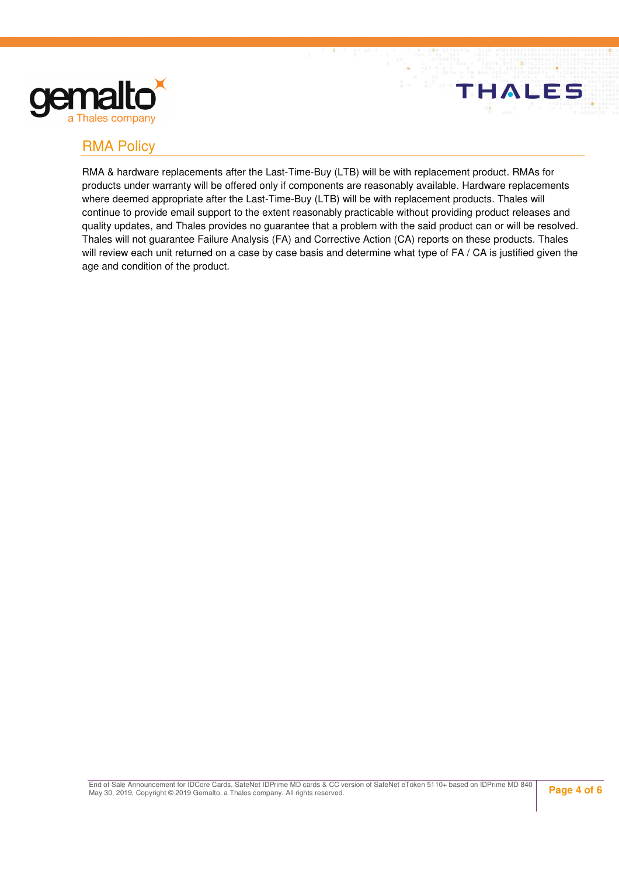

### RMA Policy

RMA & hardware replacements after the Last-Time-Buy (LTB) will be with replacement product. RMAs for products under warranty will be offered only if components are reasonably available. Hardware replacements where deemed appropriate after the Last-Time-Buy (LTB) will be with replacement products. Thales will continue to provide email support to the extent reasonably practicable without providing product releases and quality updates, and Thales provides no guarantee that a problem with the said product can or will be resolved. Thales will not guarantee Failure Analysis (FA) and Corrective Action (CA) reports on these products. Thales will review each unit returned on a case by case basis and determine what type of FA / CA is justified given the age and condition of the product.

End of Sale Announcement for IDCore Cards, SafeNet IDPrime MD cards & CC version of SafeNet eToken 5110+ based on IDPrime MD 840<br>May 30, 2019, Copyright © 2019 Gemalto, a Thales company. All rights reserved.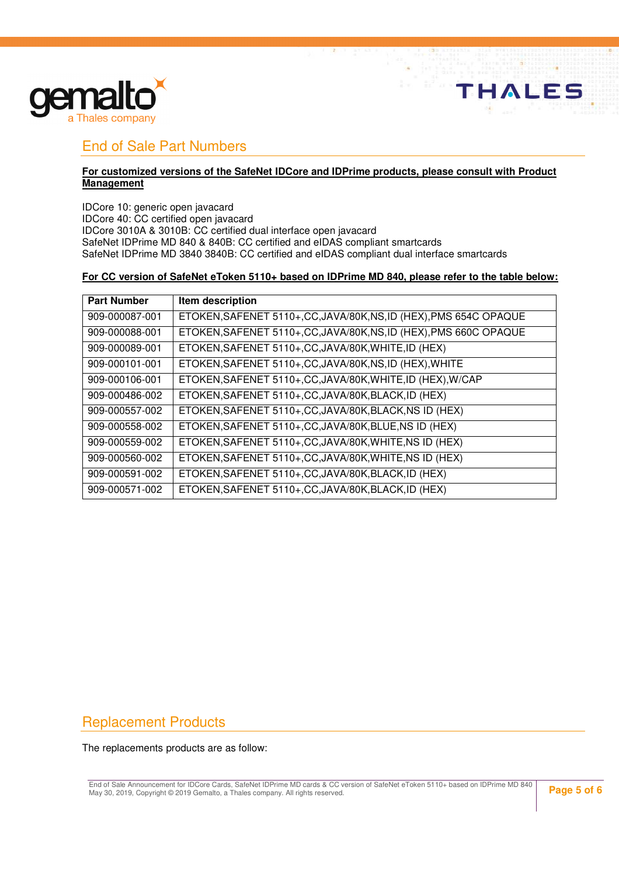

### End of Sale Part Numbers

#### **For customized versions of the SafeNet IDCore and IDPrime products, please consult with Product Management**

IDCore 10: generic open javacard IDCore 40: CC certified open javacard IDCore 3010A & 3010B: CC certified dual interface open javacard SafeNet IDPrime MD 840 & 840B: CC certified and eIDAS compliant smartcards SafeNet IDPrime MD 3840 3840B: CC certified and eIDAS compliant dual interface smartcards

#### **For CC version of SafeNet eToken 5110+ based on IDPrime MD 840, please refer to the table below:**

| <b>Part Number</b> | Item description                                                   |
|--------------------|--------------------------------------------------------------------|
| 909-000087-001     | ETOKEN, SAFENET 5110+, CC, JAVA/80K, NS, ID (HEX), PMS 654C OPAQUE |
| 909-000088-001     | ETOKEN, SAFENET 5110+, CC, JAVA/80K, NS, ID (HEX), PMS 660C OPAQUE |
| 909-000089-001     | ETOKEN, SAFENET 5110+, CC, JAVA/80K, WHITE, ID (HEX)               |
| 909-000101-001     | ETOKEN, SAFENET 5110+, CC, JAVA/80K, NS, ID (HEX), WHITE           |
| 909-000106-001     | ETOKEN, SAFENET 5110+, CC, JAVA/80K, WHITE, ID (HEX), W/CAP        |
| 909-000486-002     | ETOKEN, SAFENET 5110+, CC, JAVA/80K, BLACK, ID (HEX)               |
| 909-000557-002     | ETOKEN, SAFENET 5110+, CC, JAVA/80K, BLACK, NS ID (HEX)            |
| 909-000558-002     | ETOKEN, SAFENET 5110+, CC, JAVA/80K, BLUE, NS ID (HEX)             |
| 909-000559-002     | ETOKEN, SAFENET 5110+, CC, JAVA/80K, WHITE, NS ID (HEX)            |
| 909-000560-002     | ETOKEN, SAFENET 5110+, CC, JAVA/80K, WHITE, NS ID (HEX)            |
| 909-000591-002     | ETOKEN, SAFENET 5110+, CC, JAVA/80K, BLACK, ID (HEX)               |
| 909-000571-002     | ETOKEN, SAFENET 5110+, CC, JAVA/80K, BLACK, ID (HEX)               |

## Replacement Products

The replacements products are as follow:

End of Sale Announcement for IDCore Cards, SafeNet IDPrime MD cards & CC version of SafeNet eToken 5110+ based on IDPrime MD 840<br>May 30, 2019, Copyright © 2019 Gemalto, a Thales company. All rights reserved.